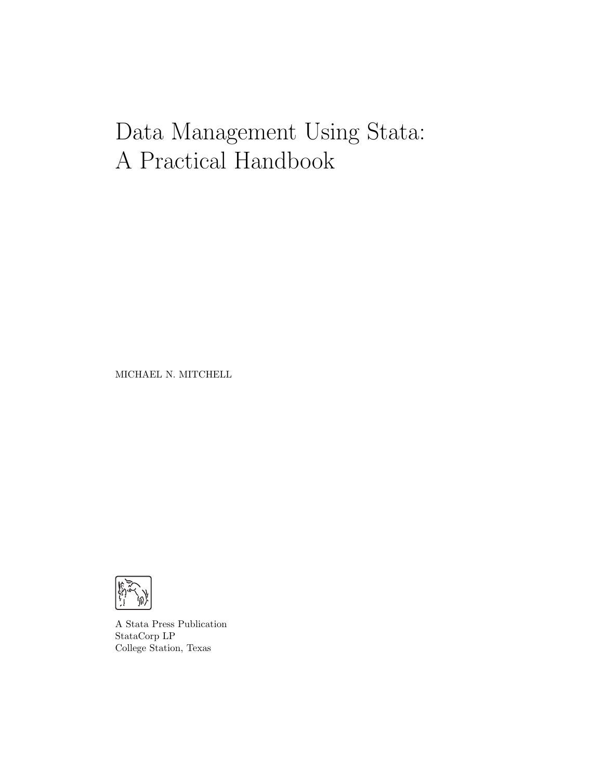# Data Management Using Stata: A Practical Handbook

MICHAEL N. MITCHELL



A Stata Press Publication StataCorp LP College Station, Texas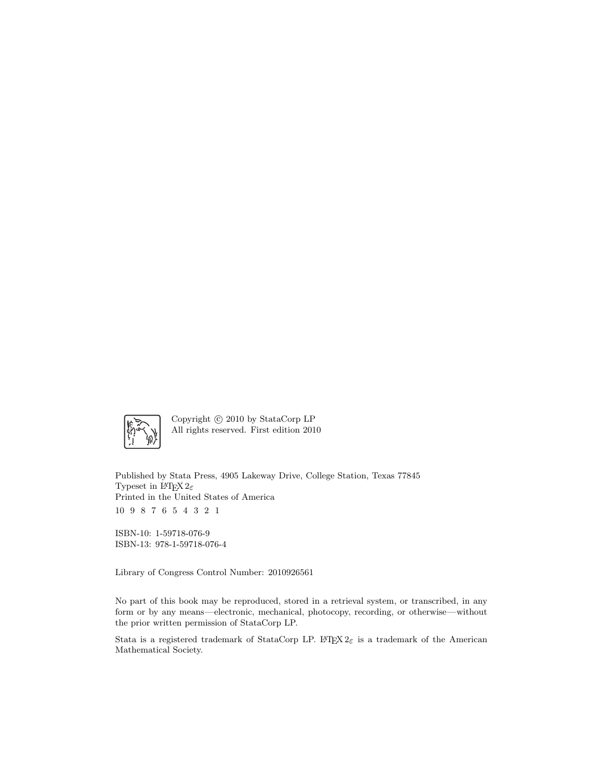

Copyright  $\odot$  2010 by StataCorp LP All rights reserved. First edition 2010

Published by Stata Press, 4905 Lakeway Drive, College Station, Texas 77845 Typeset in L<sup>AT</sup>EX  $2\varepsilon$ Printed in the United States of America 10 9 8 7 6 5 4 3 2 1

ISBN-10: 1-59718-076-9 ISBN-13: 978-1-59718-076-4

Library of Congress Control Number: 2010926561

No part of this book may be reproduced, stored in a retrieval system, or transcribed, in any form or by any means—electronic, mechanical, photocopy, recording, or otherwise—without the prior written permission of StataCorp LP.

Stata is a registered trademark of StataCorp LP. LATEX  $2\varepsilon$  is a trademark of the American Mathematical Society.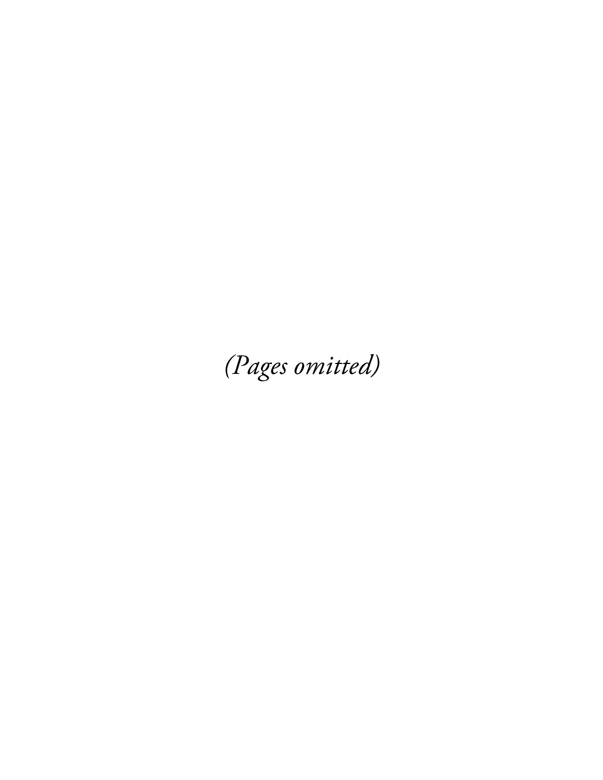(Pages omitted)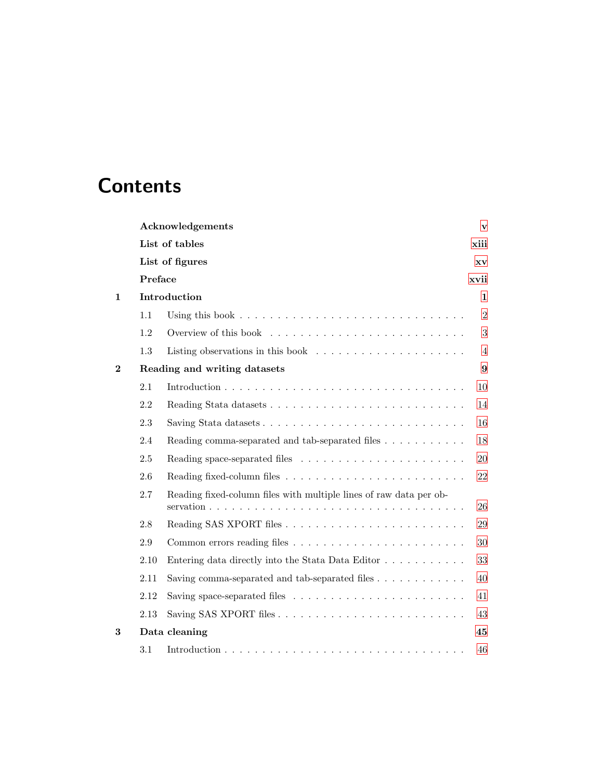# **Contents**

|              | Acknowledgements |                                                                               |                |  |  |  |
|--------------|------------------|-------------------------------------------------------------------------------|----------------|--|--|--|
|              |                  | List of tables                                                                | xiii           |  |  |  |
|              |                  | List of figures                                                               | XV             |  |  |  |
|              | Preface          |                                                                               | xvii           |  |  |  |
| $\mathbf{1}$ |                  | Introduction                                                                  | 1              |  |  |  |
|              | 1.1              |                                                                               | $\overline{2}$ |  |  |  |
|              | 1.2              |                                                                               | 3              |  |  |  |
|              | 1.3              | Listing observations in this book $\ldots \ldots \ldots \ldots \ldots \ldots$ | $\overline{4}$ |  |  |  |
| $\mathbf{2}$ |                  | Reading and writing datasets                                                  | 9              |  |  |  |
|              | 2.1              |                                                                               | 10             |  |  |  |
|              | 2.2              |                                                                               | 14             |  |  |  |
|              | 2.3              | Saving Stata datasets                                                         | 16             |  |  |  |
|              | 2.4              | Reading comma-separated and tab-separated files                               | 18             |  |  |  |
|              | 2.5              |                                                                               | $20\,$         |  |  |  |
|              | 2.6              |                                                                               | 22             |  |  |  |
|              | 2.7              | Reading fixed-column files with multiple lines of raw data per ob-            | 26             |  |  |  |
|              | 2.8              |                                                                               | 29             |  |  |  |
|              | 2.9              |                                                                               | 30             |  |  |  |
|              | 2.10             | Entering data directly into the Stata Data Editor                             | 33             |  |  |  |
|              | 2.11             | Saving comma-separated and tab-separated files $\dots \dots \dots \dots$      | 40             |  |  |  |
|              | 2.12             |                                                                               | 41             |  |  |  |
|              | 2.13             |                                                                               | 43             |  |  |  |
| 3            |                  | Data cleaning                                                                 | 45             |  |  |  |
|              | 3.1              |                                                                               | 46             |  |  |  |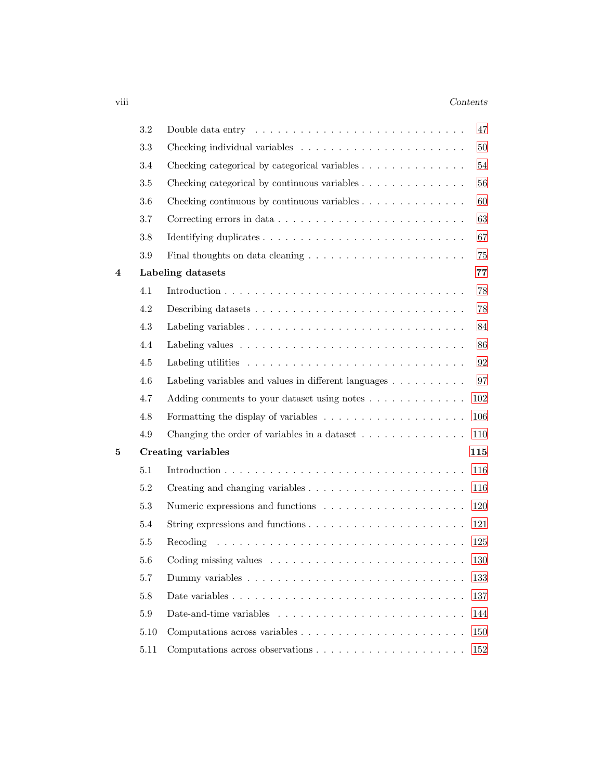#### viii *Contents*

|   | 3.2     |                                                                                       | 47     |
|---|---------|---------------------------------------------------------------------------------------|--------|
|   | 3.3     |                                                                                       | $50\,$ |
|   | 3.4     | Checking categorical by categorical variables                                         | $54\,$ |
|   | $3.5\,$ | Checking categorical by continuous variables $\dots \dots \dots \dots \dots$          | 56     |
|   | 3.6     | Checking continuous by continuous variables $\dots \dots \dots \dots \dots$           | 60     |
|   | 3.7     |                                                                                       | 63     |
|   | 3.8     |                                                                                       | 67     |
|   | 3.9     |                                                                                       | 75     |
| 4 |         | Labeling datasets                                                                     | 77     |
|   | 4.1     |                                                                                       | 78     |
|   | 4.2     |                                                                                       | 78     |
|   | 4.3     |                                                                                       | 84     |
|   | 4.4     |                                                                                       | 86     |
|   | $4.5\,$ |                                                                                       | 92     |
|   | 4.6     | Labeling variables and values in different languages $\dots \dots \dots$              | 97     |
|   | 4.7     | Adding comments to your dataset using notes                                           | 102    |
|   | 4.8     |                                                                                       | 106    |
|   | 4.9     | Changing the order of variables in a dataset $\dots \dots \dots \dots$                | 110    |
| 5 |         | Creating variables                                                                    | 115    |
|   | 5.1     |                                                                                       | 116    |
|   | 5.2     |                                                                                       | 116    |
|   | 5.3     |                                                                                       | 120    |
|   | 5.4     |                                                                                       | 121    |
|   | 5.5     | Recoding                                                                              | 125    |
|   | 5.6     | Coding missing values $\ldots \ldots \ldots \ldots \ldots \ldots \ldots \ldots$       | 130    |
|   | $5.7\,$ |                                                                                       | 133    |
|   | $5.8\,$ |                                                                                       | 137    |
|   | $5.9\,$ | Date-and-time variables $\dots \dots \dots \dots \dots \dots \dots \dots \dots \dots$ | 144    |
|   | 5.10    |                                                                                       | 150    |
|   | $5.11$  | Computations across observations $\ldots \ldots \ldots \ldots \ldots \ldots \ldots$   | 152    |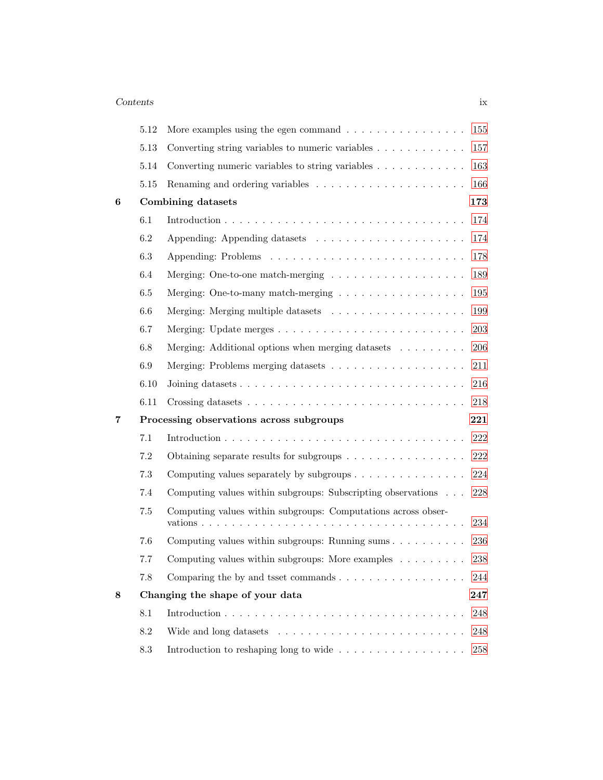#### *Contents* ix

|   | 5.12    | More examples using the egen command $\ldots \ldots \ldots \ldots \ldots$       | 155 |
|---|---------|---------------------------------------------------------------------------------|-----|
|   | 5.13    | Converting string variables to numeric variables $\ldots \ldots \ldots \ldots$  | 157 |
|   | 5.14    | Converting numeric variables to string variables $\ldots \ldots \ldots \ldots$  | 163 |
|   | 5.15    |                                                                                 | 166 |
| 6 |         | Combining datasets                                                              | 173 |
|   | 6.1     |                                                                                 | 174 |
|   | 6.2     |                                                                                 | 174 |
|   | 6.3     |                                                                                 | 178 |
|   | 6.4     |                                                                                 | 189 |
|   | 6.5     | Merging: One-to-many match-merging                                              | 195 |
|   | 6.6     |                                                                                 | 199 |
|   | 6.7     |                                                                                 | 203 |
|   | 6.8     | Merging: Additional options when merging datasets                               | 206 |
|   | 6.9     |                                                                                 | 211 |
|   | 6.10    |                                                                                 | 216 |
|   | 6.11    |                                                                                 | 218 |
| 7 |         | Processing observations across subgroups                                        | 221 |
|   | 7.1     |                                                                                 | 222 |
|   | 7.2     | Obtaining separate results for subgroups $\dots \dots \dots \dots \dots$        | 222 |
|   | 7.3     | Computing values separately by subgroups $\dots \dots \dots \dots \dots$        | 224 |
|   | 7.4     | Computing values within subgroups: Subscripting observations $\ldots$           | 228 |
|   | $7.5\,$ | Computing values within subgroups: Computations across obser-                   | 234 |
|   | 7.6     | Computing values within subgroups: Running sums $\ldots \ldots \ldots$          | 236 |
|   | 7.7     | Computing values within subgroups: More examples $\dots \dots$                  | 238 |
|   | 7.8     | Comparing the by and tsset commands $\ldots \ldots \ldots \ldots \ldots \ldots$ | 244 |
| 8 |         | Changing the shape of your data                                                 | 247 |
|   | 8.1     |                                                                                 | 248 |
|   | 8.2     |                                                                                 | 248 |
|   |         |                                                                                 |     |
|   | 8.3     | Introduction to reshaping long to wide $\dots \dots \dots \dots \dots \dots$    | 258 |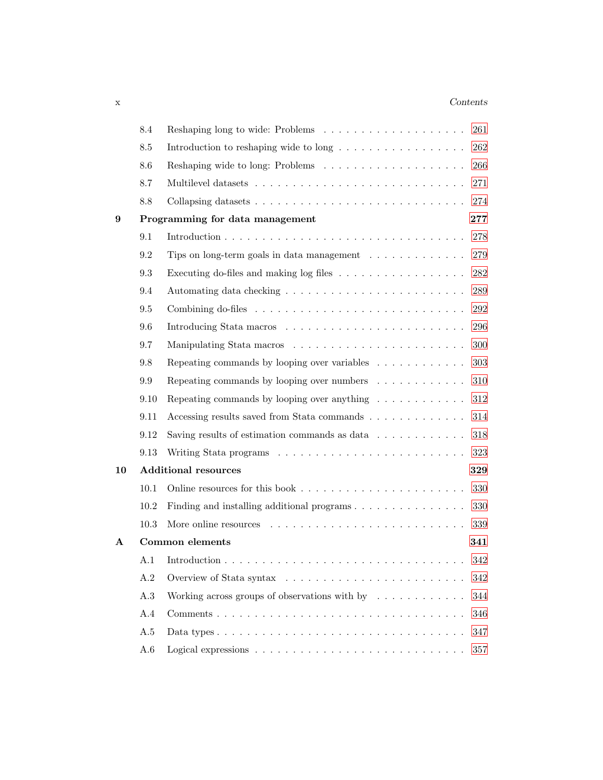### x *Contents*

|    | 8.4  |                                                                              | 261     |
|----|------|------------------------------------------------------------------------------|---------|
|    | 8.5  | Introduction to reshaping wide to long $\dots \dots \dots \dots \dots \dots$ | 262     |
|    | 8.6  |                                                                              | 266     |
|    | 8.7  |                                                                              | 271     |
|    | 8.8  |                                                                              | 274     |
| 9  |      | Programming for data management                                              | 277     |
|    | 9.1  |                                                                              | 278     |
|    | 9.2  | Tips on long-term goals in data management $\ldots \ldots \ldots \ldots$     | 279     |
|    | 9.3  |                                                                              | 282     |
|    | 9.4  |                                                                              | 289     |
|    | 9.5  |                                                                              | $\,292$ |
|    | 9.6  |                                                                              | 296     |
|    | 9.7  |                                                                              | 300     |
|    | 9.8  | Repeating commands by looping over variables $\dots \dots \dots \dots$       | 303     |
|    | 9.9  | Repeating commands by looping over numbers $\dots \dots \dots$               | 310     |
|    | 9.10 | Repeating commands by looping over anything $\dots \dots \dots$              | $312\,$ |
|    | 9.11 | Accessing results saved from Stata commands                                  | 314     |
|    | 9.12 | Saving results of estimation commands as data $\ldots \ldots \ldots \ldots$  | 318     |
|    | 9.13 |                                                                              | 323     |
| 10 |      | <b>Additional resources</b>                                                  | 329     |
|    | 10.1 |                                                                              | 330     |
|    | 10.2 | Finding and installing additional programs                                   | 330     |
|    | 10.3 |                                                                              | 339     |
| A  |      | Common elements                                                              | 341     |
|    | A.1  |                                                                              | 342     |
|    | A.2  |                                                                              | 342     |
|    | A.3  | Working across groups of observations with by $\dots \dots \dots$            | 344     |
|    | A.4  |                                                                              | 346     |
|    | A.5  |                                                                              | 347     |
|    | A.6  |                                                                              | 357     |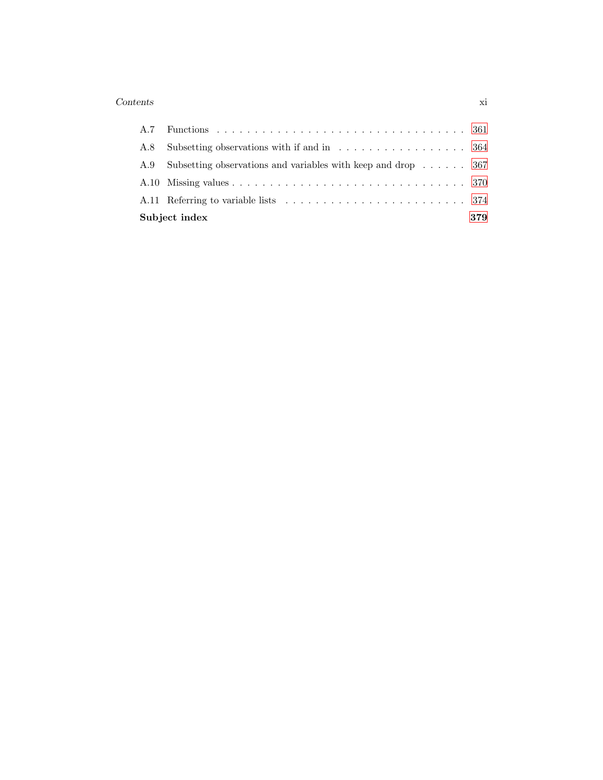#### *Contents* xi

|     | Subject index                                                    | 379 |
|-----|------------------------------------------------------------------|-----|
|     |                                                                  |     |
|     |                                                                  |     |
|     | A.9 Subsetting observations and variables with keep and drop 367 |     |
| A.8 |                                                                  |     |
|     |                                                                  |     |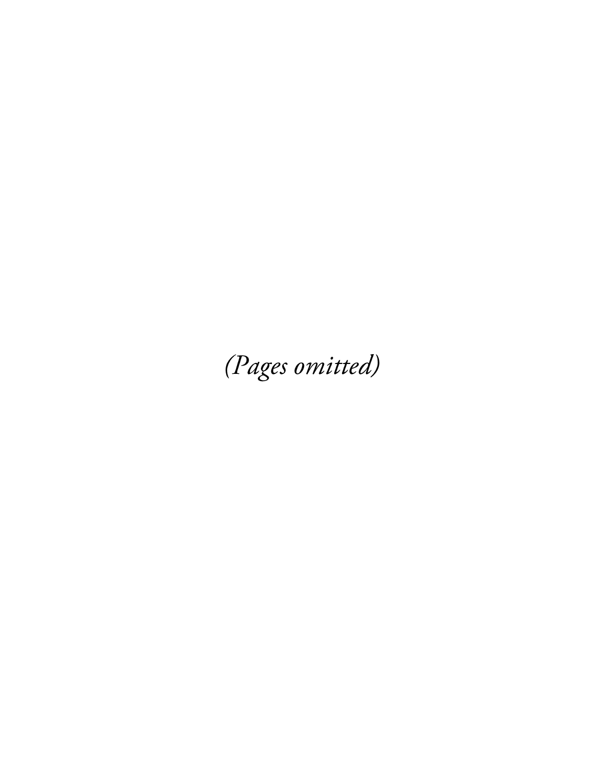(Pages omitted)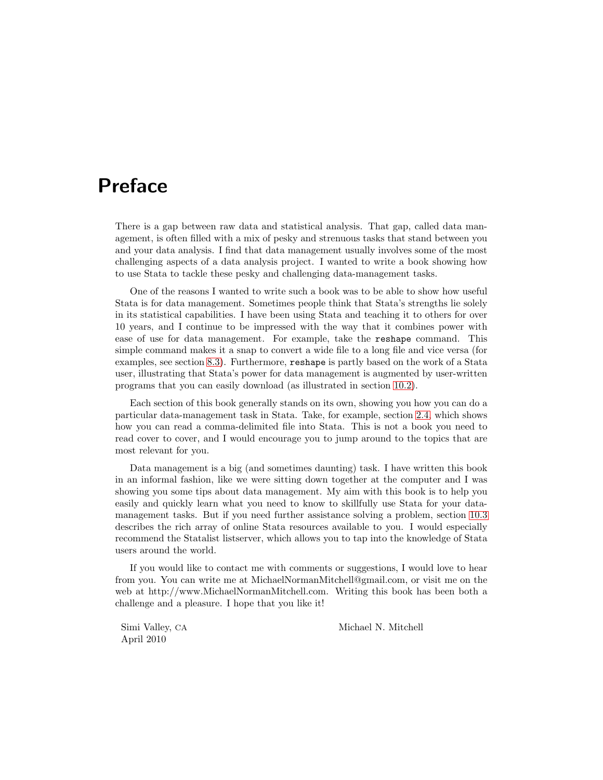# Preface

There is a gap between raw data and statistical analysis. That gap, called data management, is often filled with a mix of pesky and strenuous tasks that stand between you and your data analysis. I find that data management usually involves some of the most challenging aspects of a data analysis project. I wanted to write a book showing how to use Stata to tackle these pesky and challenging data-management tasks.

One of the reasons I wanted to write such a book was to be able to show how useful Stata is for data management. Sometimes people think that Stata's strengths lie solely in its statistical capabilities. I have been using Stata and teaching it to others for over 10 years, and I continue to be impressed with the way that it combines power with ease of use for data management. For example, take the reshape command. This simple command makes it a snap to convert a wide file to a long file and vice versa (for examples, see section 8.3). Furthermore, reshape is partly based on the work of a Stata user, illustrating that Stata's power for data management is augmented by user-written programs that you can easily download (as illustrated in section 10.2).

Each section of this book generally stands on its own, showing you how you can do a particular data-management task in Stata. Take, for example, section 2.4, which shows how you can read a comma-delimited file into Stata. This is not a book you need to read cover to cover, and I would encourage you to jump around to the topics that are most relevant for you.

Data management is a big (and sometimes daunting) task. I have written this book in an informal fashion, like we were sitting down together at the computer and I was showing you some tips about data management. My aim with this book is to help you easily and quickly learn what you need to know to skillfully use Stata for your datamanagement tasks. But if you need further assistance solving a problem, section 10.3 describes the rich array of online Stata resources available to you. I would especially recommend the Statalist listserver, which allows you to tap into the knowledge of Stata users around the world.

If you would like to contact me with comments or suggestions, I would love to hear from you. You can write me at MichaelNormanMitchell@gmail.com, or visit me on the web at http://www.MichaelNormanMitchell.com. Writing this book has been both a challenge and a pleasure. I hope that you like it!

April 2010

Simi Valley, CA Michael N. Mitchell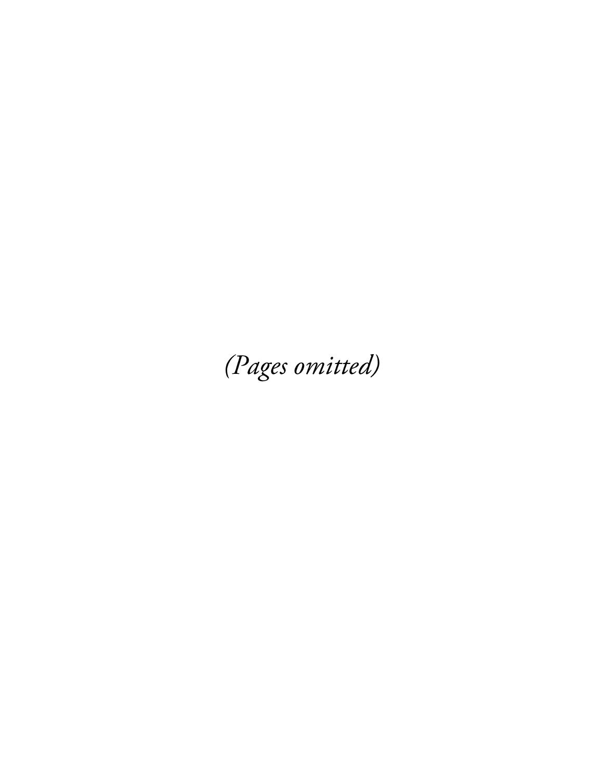(Pages omitted)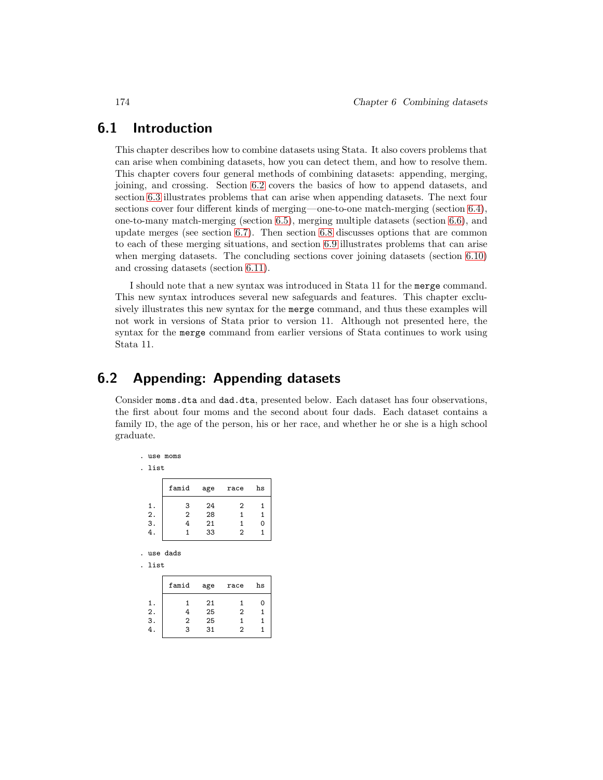## 6.1 Introduction

This chapter describes how to combine datasets using Stata. It also covers problems that can arise when combining datasets, how you can detect them, and how to resolve them. This chapter covers four general methods of combining datasets: appending, merging, joining, and crossing. Section 6.2 covers the basics of how to append datasets, and section 6.3 illustrates problems that can arise when appending datasets. The next four sections cover four different kinds of merging—one-to-one match-merging (section 6.4), one-to-many match-merging (section 6.5), merging multiple datasets (section 6.6), and update merges (see section 6.7). Then section 6.8 discusses options that are common to each of these merging situations, and section 6.9 illustrates problems that can arise when merging datasets. The concluding sections cover joining datasets (section 6.10) and crossing datasets (section 6.11).

I should note that a new syntax was introduced in Stata 11 for the merge command. This new syntax introduces several new safeguards and features. This chapter exclusively illustrates this new syntax for the merge command, and thus these examples will not work in versions of Stata prior to version 11. Although not presented here, the syntax for the merge command from earlier versions of Stata continues to work using Stata 11.

# 6.2 Appending: Appending datasets

Consider moms.dta and dad.dta, presented below. Each dataset has four observations, the first about four moms and the second about four dads. Each dataset contains a family ID, the age of the person, his or her race, and whether he or she is a high school graduate.

|                      | use moms                                 |                      |                                          |                                       |
|----------------------|------------------------------------------|----------------------|------------------------------------------|---------------------------------------|
| list                 |                                          |                      |                                          |                                       |
|                      | famid                                    | age                  | race                                     | hs                                    |
| 1.<br>2.<br>3.<br>4. | 3<br>$\overline{2}$<br>4<br>$\mathbf{1}$ | 24<br>28<br>21<br>33 | 2<br>1<br>1<br>2                         | 1<br>$\mathbf{1}$<br>0<br>1           |
|                      | use dads                                 |                      |                                          |                                       |
| list                 |                                          |                      |                                          |                                       |
|                      | famid                                    | age                  | race                                     | hs                                    |
| 1.<br>2.<br>3.<br>4. | 1<br>4<br>$\overline{2}$<br>3            | 21<br>25<br>25<br>31 | 1<br>2<br>$\mathbf{1}$<br>$\overline{2}$ | 0<br>$\mathbf{1}$<br>$\mathbf 1$<br>1 |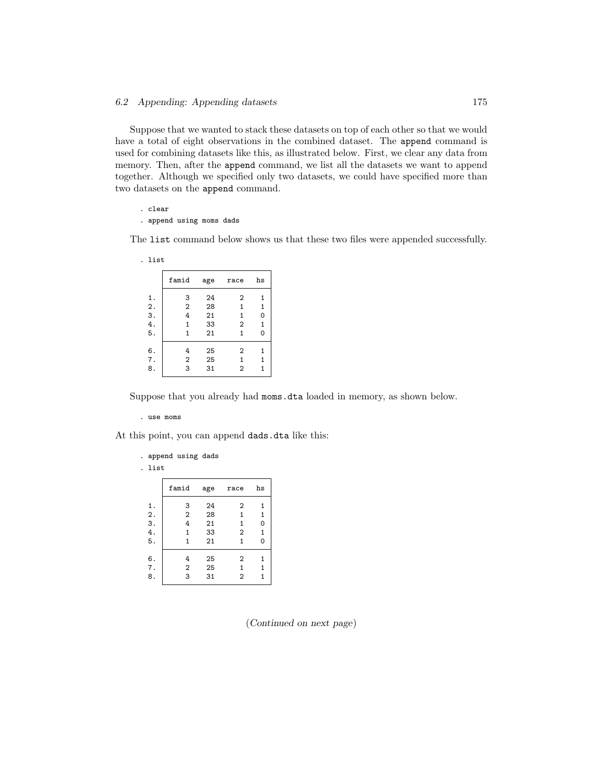#### *6.2 Appending: Appending datasets* 175

Suppose that we wanted to stack these datasets on top of each other so that we would have a total of eight observations in the combined dataset. The append command is used for combining datasets like this, as illustrated below. First, we clear any data from memory. Then, after the append command, we list all the datasets we want to append together. Although we specified only two datasets, we could have specified more than two datasets on the append command.

. clear

. append using moms dads

The list command below shows us that these two files were appended successfully.

| list            |                |     |                |    |
|-----------------|----------------|-----|----------------|----|
|                 | famid          | age | race           | hs |
| 1.              | 3              | 24  | 2              | 1  |
|                 | $\overline{2}$ | 28  | 1              | 1  |
| $\frac{2}{3}$ . | 4              | 21  | 1              | 0  |
| 4.              | 1              | 33  | $\overline{2}$ | 1  |
| 5.              | $\mathbf{1}$   | 21  | 1              | 0  |
| 6.              | 4              | 25  | 2              | 1  |
| $\bf 7$ .       | $\mathbf{2}$   | 25  | 1              | 1  |
| 8.              | 3              | 31  | 2              | 1  |

Suppose that you already had moms.dta loaded in memory, as shown below.

. use moms

At this point, you can append dads.dta like this:

|      | append using dads |     |                |              |  |
|------|-------------------|-----|----------------|--------------|--|
| list |                   |     |                |              |  |
|      | famid             | age | race           | hs           |  |
| 1.   | 3                 | 24  | 2              | 1            |  |
| 2.   | $\overline{2}$    | 28  | $\mathbf{1}$   | $\mathbf 1$  |  |
| 3.   | 4                 | 21  | 1              | $\mathbf 0$  |  |
| 4.   | $\mathbf{1}$      | 33  | $\overline{2}$ | $\mathbf{1}$ |  |
| 5.   | $\mathbf{1}$      | 21  | $\mathbf{1}$   | O            |  |
| 6.   | 4                 | 25  | 2              | 1            |  |
| 7.   | $\overline{2}$    | 25  | 1              | 1            |  |
| 8.   | 3                 | 31  | 2              | $\mathbf{1}$ |  |

(*Continued on next page*)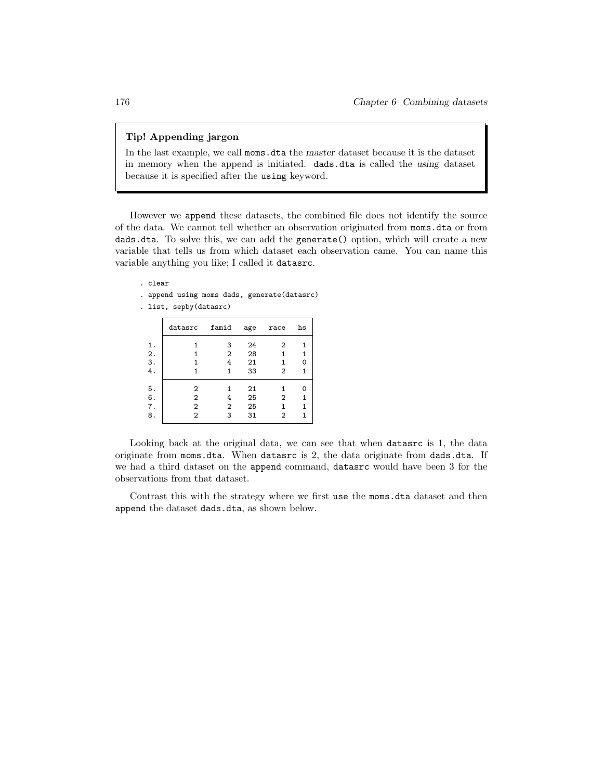### Tip! Appending jargon

In the last example, we call moms.dta the *master* dataset because it is the dataset in memory when the append is initiated. dads.dta is called the *using* dataset because it is specified after the using keyword.

However we append these datasets, the combined file does not identify the source of the data. We cannot tell whether an observation originated from moms.dta or from dads.dta. To solve this, we can add the generate() option, which will create a new variable that tells us from which dataset each observation came. You can name this variable anything you like; I called it datasrc.

. clear

```
. append using moms dads, generate(datasrc)
```
. list, sepby(datasrc)

| datasrc                                               | famid            | age                  | race             | hs |
|-------------------------------------------------------|------------------|----------------------|------------------|----|
| 1<br>1<br>1<br>1                                      | 3<br>2<br>4<br>1 | 24<br>28<br>21<br>33 | 2<br>1<br>1<br>2 |    |
| $\mathbf{2}$<br>$\overline{2}$<br>$\overline{2}$<br>2 | 4<br>2<br>3      | 21<br>25<br>25<br>31 | 1<br>2<br>1<br>2 |    |
|                                                       |                  |                      |                  |    |

Looking back at the original data, we can see that when datasrc is 1, the data originate from moms.dta. When datasrc is 2, the data originate from dads.dta. If we had a third dataset on the append command, datasrc would have been 3 for the observations from that dataset.

Contrast this with the strategy where we first use the moms.dta dataset and then append the dataset dads.dta, as shown below.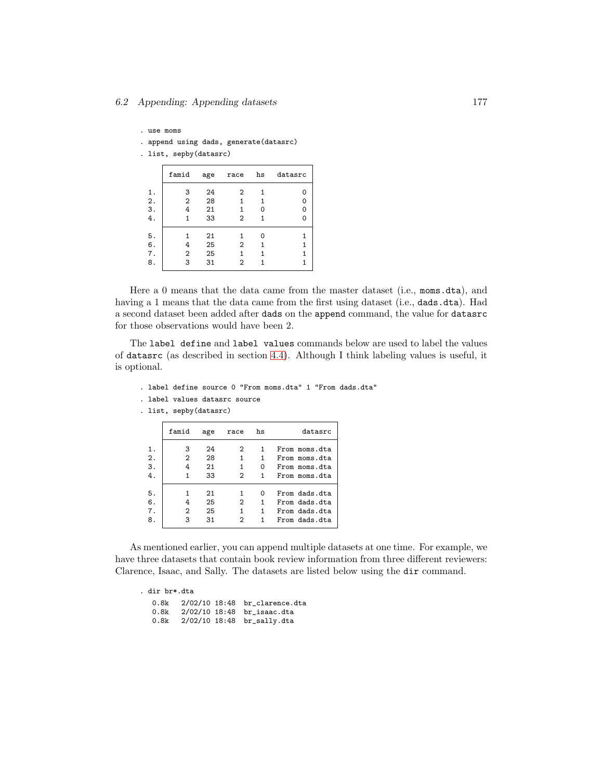. use moms

. append using dads, generate(datasrc)

. list, sepby(datasrc)

|                 | famid          | age | race | hs | datasrc |
|-----------------|----------------|-----|------|----|---------|
| 1.              | 3              | 24  | 2    | 1  |         |
|                 | $\overline{2}$ | 28  |      | 1  | 0       |
| $\frac{2}{3}$ . | 4              | 21  |      | 0  | 0       |
| 4.              | 1              | 33  | 2    | 1  |         |
| 5.              |                | 21  |      | ი  |         |
| 6.              | 4              | 25  | 2    | 1  |         |
| 7.              | $\overline{2}$ | 25  |      | 1  |         |
| 8.              | 3              | 31  | 2    |    |         |

Here a 0 means that the data came from the master dataset (i.e., moms.dta), and having a 1 means that the data came from the first using dataset (i.e., dads.dta). Had a second dataset been added after dads on the append command, the value for datasrc for those observations would have been 2.

The label define and label values commands below are used to label the values of datasrc (as described in section 4.4). Although I think labeling values is useful, it is optional.

. label define source 0 "From moms.dta" 1 "From dads.dta"

. label values datasrc source

. list, sepby(datasrc)

|                                    | famid            | age                  | race             | hs                      | datasrc                                                          |
|------------------------------------|------------------|----------------------|------------------|-------------------------|------------------------------------------------------------------|
| 1.<br>2.<br>3.<br>$\overline{4}$ . | 3<br>2<br>4<br>1 | 24<br>28<br>21<br>33 | 2<br>1<br>1<br>2 | 1<br>1<br>$\Omega$<br>1 | From moms.dta<br>From moms.dta<br>From moms.dta<br>From moms.dta |
| 5.<br>6.<br>7.<br>8.               | 4<br>2<br>3      | 21<br>25<br>25<br>31 | 1<br>2<br>1<br>2 | 0<br>1<br>1<br>1        | From dads.dta<br>From dads.dta<br>From dads.dta<br>From dads.dta |

As mentioned earlier, you can append multiple datasets at one time. For example, we have three datasets that contain book review information from three different reviewers: Clarence, Isaac, and Sally. The datasets are listed below using the dir command.

. dir br\*.dta

| 0.8k |  | $2/02/10$ 18:48 br_clarence.dta |
|------|--|---------------------------------|
| 0.8k |  | 2/02/10 18:48 br isaac.dta      |
| 0.8k |  | $2/02/10$ 18:48 br_sally.dta    |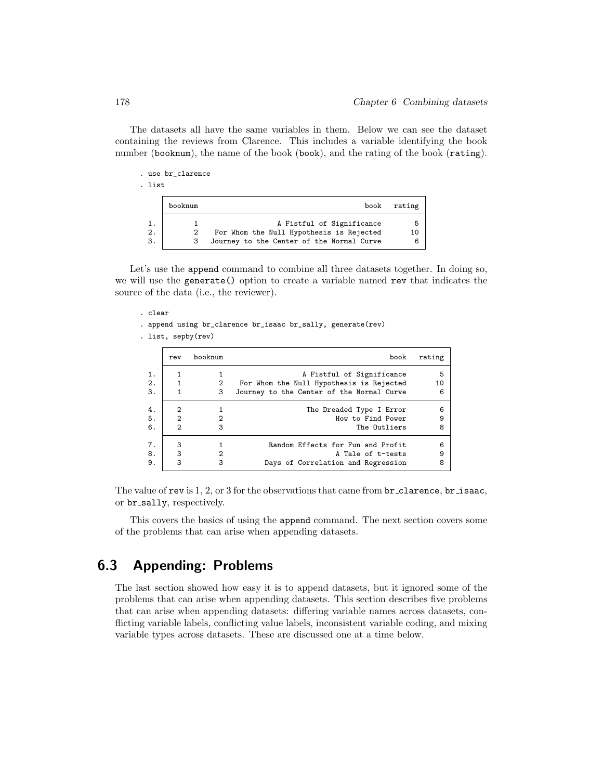The datasets all have the same variables in them. Below we can see the dataset containing the reviews from Clarence. This includes a variable identifying the book number (booknum), the name of the book (book), and the rating of the book (rating).

. use br\_clarence

. list

|    | booknum | book                                      | rating |
|----|---------|-------------------------------------------|--------|
| 1. |         | A Fistful of Significance                 |        |
| 2. |         | For Whom the Null Hypothesis is Rejected  |        |
| 3. | 3       | Journey to the Center of the Normal Curve |        |

Let's use the append command to combine all three datasets together. In doing so, we will use the generate() option to create a variable named rev that indicates the source of the data (i.e., the reviewer).

. clear

- . append using br\_clarence br\_isaac br\_sally, generate(rev)
- . list, sepby(rev)

|    | rev            | booknum | book                                      | rating |
|----|----------------|---------|-------------------------------------------|--------|
| 1. |                |         | A Fistful of Significance                 | 5      |
| 2. |                | 2       | For Whom the Null Hypothesis is Rejected  | 10     |
| 3. |                | 3       | Journey to the Center of the Normal Curve | 6      |
| 4. | 2              |         | The Dreaded Type I Error                  | 6      |
| 5. | $\overline{2}$ | 2       | How to Find Power                         | 9      |
| 6. | $\mathcal{D}$  | 3       | The Outliers                              | 8      |
| 7. | 3              |         | Random Effects for Fun and Profit         | 6      |
| 8. | 3              | 2       | A Tale of t-tests                         | 9      |
| 9. | 3              | 3       | Days of Correlation and Regression        | 8      |

The value of  $rev$  is  $1, 2$ , or 3 for the observations that came from  $br\_character, br_i$  isaac, or br sally, respectively.

This covers the basics of using the append command. The next section covers some of the problems that can arise when appending datasets.

# 6.3 Appending: Problems

The last section showed how easy it is to append datasets, but it ignored some of the problems that can arise when appending datasets. This section describes five problems that can arise when appending datasets: differing variable names across datasets, conflicting variable labels, conflicting value labels, inconsistent variable coding, and mixing variable types across datasets. These are discussed one at a time below.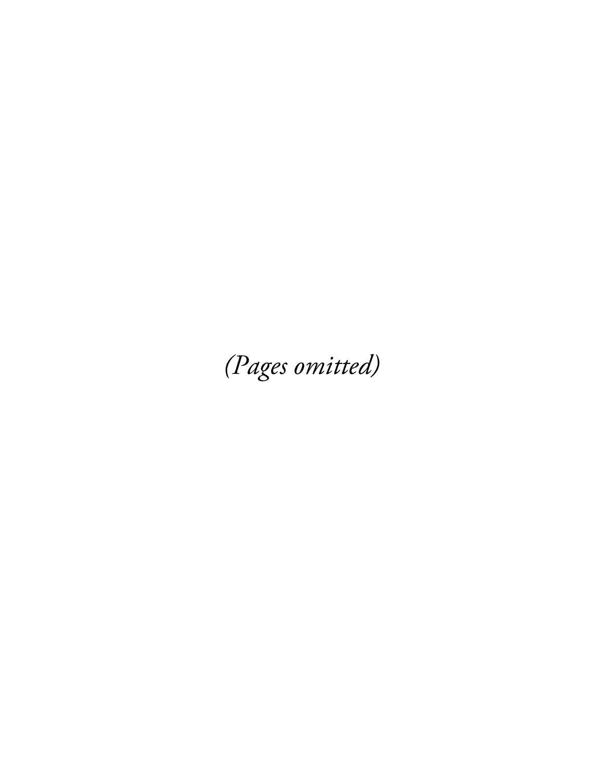(Pages omitted)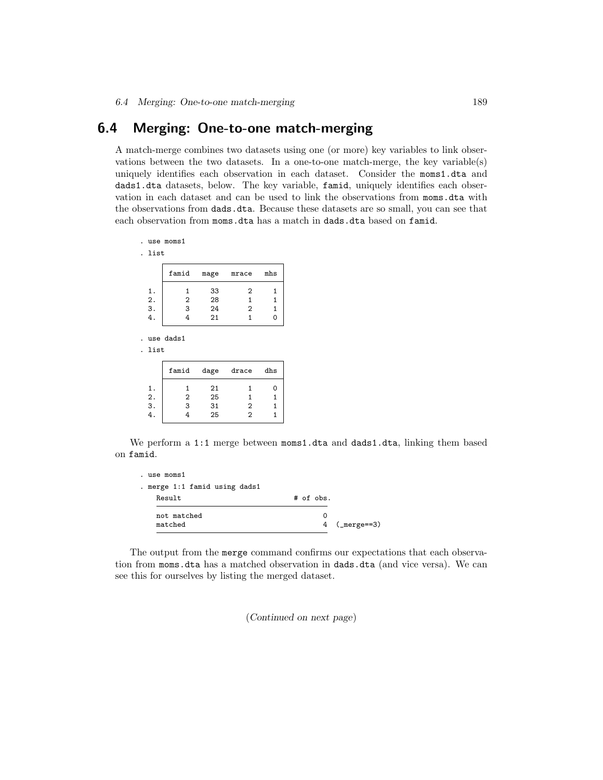# 6.4 Merging: One-to-one match-merging

A match-merge combines two datasets using one (or more) key variables to link observations between the two datasets. In a one-to-one match-merge, the key variable(s) uniquely identifies each observation in each dataset. Consider the moms1.dta and dads1.dta datasets, below. The key variable, famid, uniquely identifies each observation in each dataset and can be used to link the observations from moms.dta with the observations from dads.dta. Because these datasets are so small, you can see that each observation from moms.dta has a match in dads.dta based on famid.

|                   |      | use moms1      |      |                |              |  |  |
|-------------------|------|----------------|------|----------------|--------------|--|--|
|                   | list |                |      |                |              |  |  |
|                   |      | famid          | mage | mrace          | mhs          |  |  |
|                   | 1.   | 1              | 33   | $\overline{2}$ | 1            |  |  |
|                   | 2.   | $\overline{2}$ | 28   | $\mathbf{1}$   | 1            |  |  |
|                   | 3.   | 3              | 24   | $\overline{2}$ | $\mathbf{1}$ |  |  |
|                   | 4.   | 4              | 21   | 1              | $\mathbf 0$  |  |  |
| use dads1<br>list |      |                |      |                |              |  |  |
|                   |      | famid          |      | dage drace     | dhs          |  |  |
|                   | 1.   | 1              | 21   | 1              | 0            |  |  |
|                   | 2.   | $\overline{2}$ | 25   | $\mathbf{1}$   | $\mathbf{1}$ |  |  |
|                   | 3.   | 3              | 31   | $\overline{2}$ | $\mathbf{1}$ |  |  |
|                   | 4.   | 4              | 25   | 2              | 1            |  |  |

We perform a 1:1 merge between moms1.dta and dads1.dta, linking them based on famid.

| Result                 | . merge 1:1 famid using dads1 |  | # of obs. |                    |
|------------------------|-------------------------------|--|-----------|--------------------|
| not matched<br>matched |                               |  | O         | $4$ ( $merge==3$ ) |

The output from the merge command confirms our expectations that each observation from moms.dta has a matched observation in dads.dta (and vice versa). We can see this for ourselves by listing the merged dataset.

(*Continued on next page*)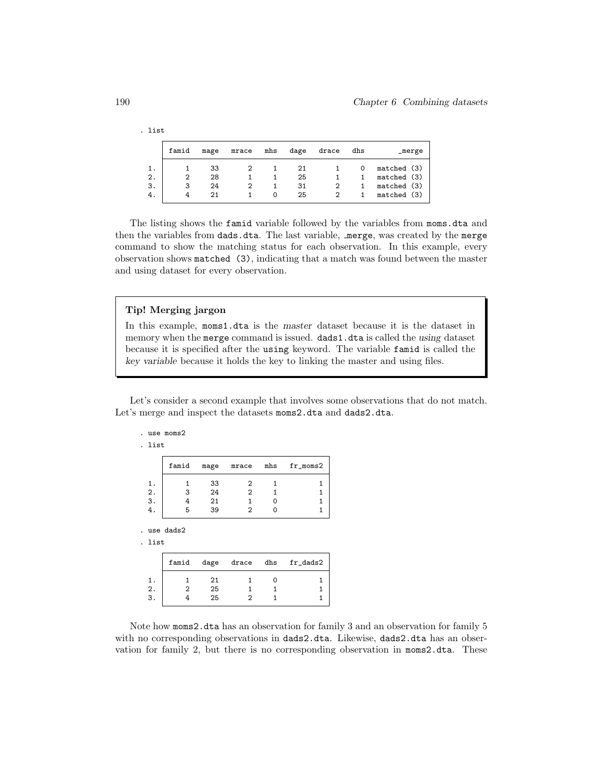|    | famid | mage | mrace | mhs | dage | drace | dhs | _merge      |
|----|-------|------|-------|-----|------|-------|-----|-------------|
| 1. |       | 33   |       |     | 21   |       | 0   | matched (3) |
| 2. | 2     | 28   |       |     | 25   |       |     | matched (3) |
| З. | 3     | 24   |       |     | 31   |       |     | matched (3) |
| 4. |       | 21   |       |     | 25   |       |     | matched (3) |

The listing shows the famid variable followed by the variables from moms.dta and then the variables from dads.dta. The last variable, merge, was created by the merge command to show the matching status for each observation. In this example, every observation shows matched (3), indicating that a match was found between the master and using dataset for every observation.

#### Tip! Merging jargon

In this example, moms1.dta is the *master* dataset because it is the dataset in memory when the merge command is issued. dads1.dta is called the *using* dataset because it is specified after the using keyword. The variable famid is called the *key variable* because it holds the key to linking the master and using files.

Let's consider a second example that involves some observations that do not match. Let's merge and inspect the datasets moms2.dta and dads2.dta.

|                 | . use moms2 |      |       |     |            |
|-----------------|-------------|------|-------|-----|------------|
| . list          |             |      |       |     |            |
|                 | famid       | mage | mrace | mhs | $fr_moms2$ |
| 1.              |             | 33   | 2     |     |            |
| $\frac{2}{3}$ . | 3           | 24   | 2     |     |            |
|                 |             | 21   |       |     |            |
| 4.              | 5           | 39   | 2     |     |            |
|                 |             |      |       |     |            |

. use dads2

. list

|       | famid |    |  | dage drace dhs fr_dads2 |
|-------|-------|----|--|-------------------------|
| $1$ . |       | 21 |  |                         |
| 2.    |       | 25 |  |                         |
| 3.    |       | 25 |  |                         |
|       |       |    |  |                         |

Note how moms2.dta has an observation for family 3 and an observation for family 5 with no corresponding observations in dads2.dta. Likewise, dads2.dta has an observation for family 2, but there is no corresponding observation in moms2.dta. These

. list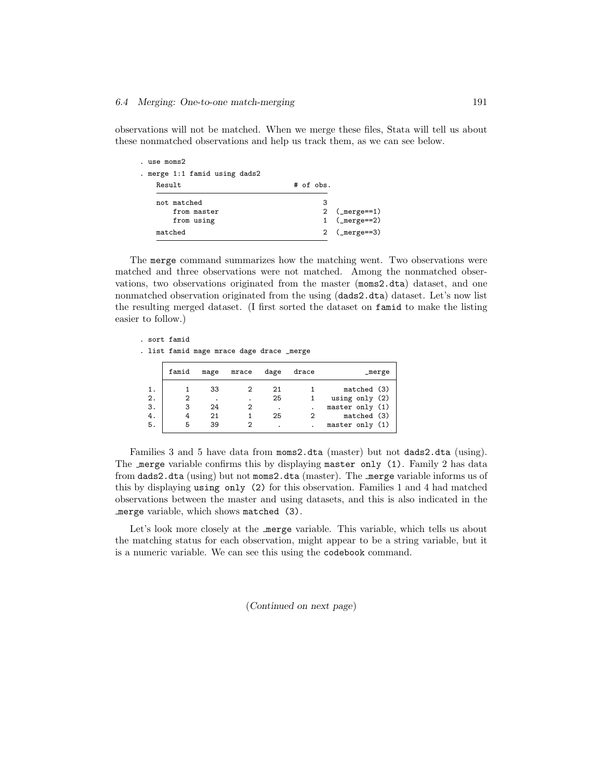observations will not be matched. When we merge these files, Stata will tell us about these nonmatched observations and help us track them, as we can see below.

| . use moms2                   |           |                       |
|-------------------------------|-----------|-----------------------|
| . merge 1:1 famid using dads2 |           |                       |
| Result                        | # of obs. |                       |
| not matched                   | З         |                       |
| from master                   |           | 2 $(\text{merge}==1)$ |
| from using                    |           | $1$ (_merge==2)       |
| matched                       |           | 2 $(\text{merge}==3)$ |

The merge command summarizes how the matching went. Two observations were matched and three observations were not matched. Among the nonmatched observations, two observations originated from the master (moms2.dta) dataset, and one nonmatched observation originated from the using (dads2.dta) dataset. Let's now list the resulting merged dataset. (I first sorted the dataset on famid to make the listing easier to follow.)

| sort famid |  |
|------------|--|
|------------|--|

. list famid mage mrace dage drace \_merge

|                      | famid       | mage                      | mrace   | dage                | drace | $_{\text{merge}}$                                                                    |
|----------------------|-------------|---------------------------|---------|---------------------|-------|--------------------------------------------------------------------------------------|
| 2.<br>3.<br>4.<br>5. | 3<br>4<br>5 | 33<br>٠<br>24<br>21<br>39 | $\cdot$ | 21<br>25<br>٠<br>25 |       | matched (3)<br>using only $(2)$<br>master only (1)<br>matched (3)<br>master only (1) |

Families 3 and 5 have data from moms2.dta (master) but not dads2.dta (using). The merge variable confirms this by displaying master only (1). Family 2 has data from dads2.dta (using) but not moms2.dta (master). The merge variable informs us of this by displaying using only (2) for this observation. Families 1 and 4 had matched observations between the master and using datasets, and this is also indicated in the merge variable, which shows matched (3).

Let's look more closely at the merge variable. This variable, which tells us about the matching status for each observation, might appear to be a string variable, but it is a numeric variable. We can see this using the codebook command.

(*Continued on next page*)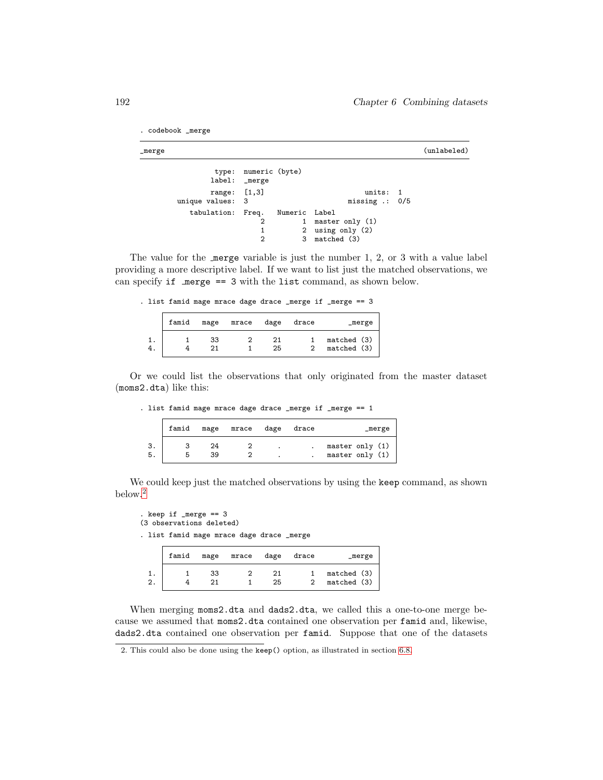```
. codebook _merge
```

```
_merge (unlabeled)
              type: numeric (byte)<br>label: merge
                    _merge
       range: [1,3] units: 1<br>unique values: 3 missing .: 0
                                          missing .: 0/5
          tabulation: Freq. Numeric Label
                                1 master only (1)
                        1 2 using only (2)<br>2 3 matched (3)
                                 3 matched (3)
```
The value for the merge variable is just the number 1, 2, or 3 with a value label providing a more descriptive label. If we want to list just the matched observations, we can specify if merge == 3 with the list command, as shown below.

. list famid mage mrace dage drace \_merge if \_merge == 3

|    | famid | mage | mrace | dage     | drace | _merge                     |
|----|-------|------|-------|----------|-------|----------------------------|
| 4. |       | 33   |       | 21<br>25 |       | matched (3)<br>matched (3) |

Or we could list the observations that only originated from the master dataset (moms2.dta) like this:

|      | famid | mage     | mrace dage | drace | _merge                               |
|------|-------|----------|------------|-------|--------------------------------------|
| - 5. | h     | 24<br>39 |            |       | master only (1)<br>master only $(1)$ |

. list famid mage mrace dage drace \_merge if \_merge == 1

We could keep just the matched observations by using the keep command, as shown below.<sup>2</sup>

```
. keep if _merge == 3
(3 observations deleted)
```
. list famid mage mrace dage drace \_merge

|          | famid | mage | mrace | dage | drace | _merge                     |
|----------|-------|------|-------|------|-------|----------------------------|
| 1.<br>2. |       | 33   |       | 25   |       | matched (3)<br>matched (3) |

When merging moms2.dta and dads2.dta, we called this a one-to-one merge because we assumed that moms2.dta contained one observation per famid and, likewise, dads2.dta contained one observation per famid. Suppose that one of the datasets

<sup>2.</sup> This could also be done using the keep() option, as illustrated in section 6.8.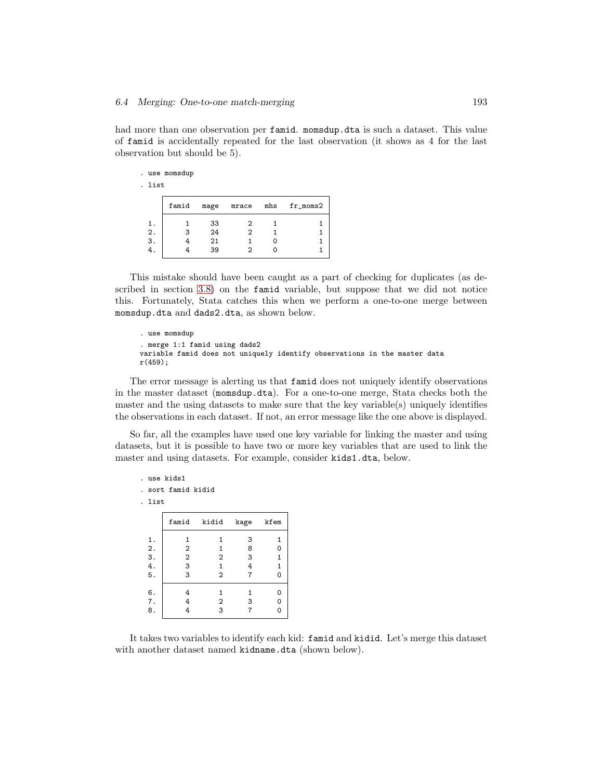had more than one observation per famid. momsdup.dta is such a dataset. This value of famid is accidentally repeated for the last observation (it shows as 4 for the last observation but should be 5).

| use momsdup |  |
|-------------|--|
|-------------|--|

. list

| famid | mage | mrace | mhs | $fr_moms2$ |
|-------|------|-------|-----|------------|
|       | 33   | 2     |     |            |
|       | 24   | 2     |     |            |
|       | 21   |       |     |            |
|       | 39   |       |     |            |
|       |      |       |     |            |

This mistake should have been caught as a part of checking for duplicates (as described in section 3.8) on the famid variable, but suppose that we did not notice this. Fortunately, Stata catches this when we perform a one-to-one merge between momsdup.dta and dads2.dta, as shown below.

```
. use momsdup
. merge 1:1 famid using dads2
variable famid does not uniquely identify observations in the master data
r(459);
```
The error message is alerting us that famid does not uniquely identify observations in the master dataset (momsdup.dta). For a one-to-one merge, Stata checks both the master and the using datasets to make sure that the key variable(s) uniquely identifies the observations in each dataset. If not, an error message like the one above is displayed.

So far, all the examples have used one key variable for linking the master and using datasets, but it is possible to have two or more key variables that are used to link the master and using datasets. For example, consider kids1.dta, below.

|      | use kids1        |                |      |              |
|------|------------------|----------------|------|--------------|
|      | sort famid kidid |                |      |              |
| list |                  |                |      |              |
|      | famid            | kidid          | kage | kfem         |
| 1.   | 1                | 1              | 3    | 1            |
| 2.   | $\overline{2}$   | $\mathbf{1}$   | 8    | 0            |
| З.   | $\overline{2}$   | $\overline{2}$ | 3    | $\mathbf{1}$ |
| 4.   | 3                | 1              | 4    | 1            |
| 5.   | 3                | $\overline{2}$ | 7    | 0            |
| 6.   | 4                | 1              | 1    | 0            |
| 7.   | 4                | 2              | 3    | 0            |
| 8.   | 4                | 3              | 7    | 0            |
|      |                  |                |      |              |

It takes two variables to identify each kid: famid and kidid. Let's merge this dataset with another dataset named kidname.dta (shown below).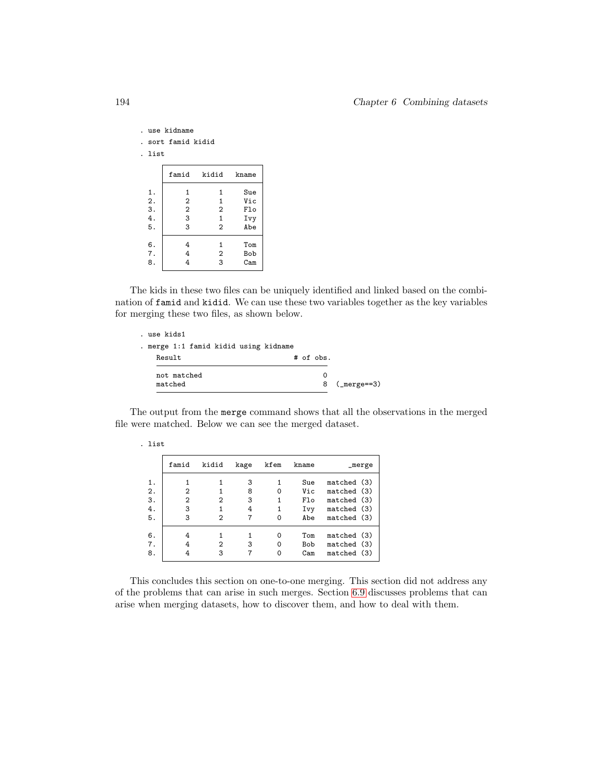|      | use kidname      |                |       |  |  |
|------|------------------|----------------|-------|--|--|
|      | sort famid kidid |                |       |  |  |
| list |                  |                |       |  |  |
|      | famid            | kidid          | kname |  |  |
| 1.   | 1                | 1              | Sue   |  |  |
| 2.   | $\overline{2}$   | 1              | Vic   |  |  |
| 3.   | $\overline{2}$   | $\overline{2}$ | Flo   |  |  |
| 4.   | 3                | 1              | Ivy   |  |  |
| 5.   | 3                | $\overline{2}$ | Abe   |  |  |
| 6.   | 4                | 1              | Tom   |  |  |
| 7.   | 4                | 2              | Bob   |  |  |
| 8.   | 4                | 3              | Cam   |  |  |

. list

The kids in these two files can be uniquely identified and linked based on the combination of famid and kidid. We can use these two variables together as the key variables for merging these two files, as shown below.

| . use kids1<br>. merge 1:1 famid kidid using kidname |           |                   |
|------------------------------------------------------|-----------|-------------------|
| Result                                               | # of obs. |                   |
| not matched<br>matched                               | O         | $8$ ( $merge=3$ ) |
|                                                      |           |                   |

The output from the merge command shows that all the observations in the merged file were matched. Below we can see the merged dataset.

|          | famid  | kidid | kage   | kfem | kname      | _merge                     |
|----------|--------|-------|--------|------|------------|----------------------------|
| 1.       |        |       | 3      |      | Sue        | matched (3)                |
| 2.<br>3. | 2<br>2 | 2     | 8<br>3 | Ω    | Vic<br>F1o | matched (3)<br>matched (3) |
| 4.       | 3      |       | 4      |      | Ivy        | matched (3)                |
| 5.       | 3      | 2     |        | 0    | Abe        | matched (3)                |
| 6.       | 4      |       |        | Ω    | Tom        | matched (3)                |
| 7.       | 4      | 2     | 3      | 0    | Bob        | matched (3)                |
| 8.       |        | 3     |        |      | Cam        | matched (3)                |

This concludes this section on one-to-one merging. This section did not address any of the problems that can arise in such merges. Section 6.9 discusses problems that can arise when merging datasets, how to discover them, and how to deal with them.